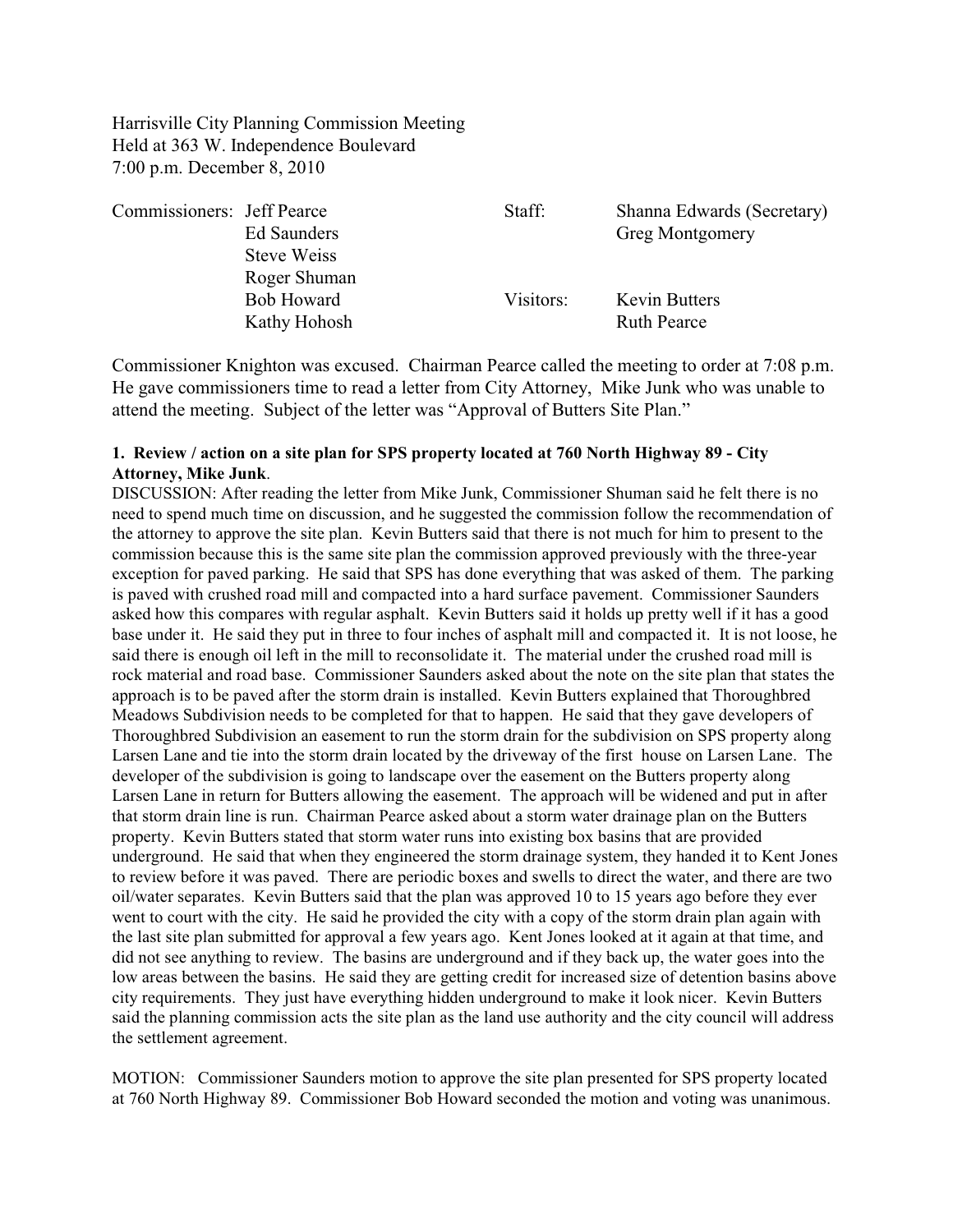Harrisville City Planning Commission Meeting Held at 363 W. Independence Boulevard 7:00 p.m. December 8, 2010

| Commissioners: Jeff Pearce | Ed Saunders                       | Staff:    | Shanna Edwards (Secretary)<br><b>Greg Montgomery</b> |
|----------------------------|-----------------------------------|-----------|------------------------------------------------------|
|                            | Steve Weiss<br>Roger Shuman       |           |                                                      |
|                            | <b>Bob Howard</b><br>Kathy Hohosh | Visitors: | <b>Kevin Butters</b><br><b>Ruth Pearce</b>           |

Commissioner Knighton was excused. Chairman Pearce called the meeting to order at 7:08 p.m. He gave commissioners time to read a letter from City Attorney, Mike Junk who was unable to attend the meeting. Subject of the letter was "Approval of Butters Site Plan."

## **1. Review / action on a site plan for SPS property located at 760 North Highway 89 - City Attorney, Mike Junk**.

DISCUSSION: After reading the letter from Mike Junk, Commissioner Shuman said he felt there is no need to spend much time on discussion, and he suggested the commission follow the recommendation of the attorney to approve the site plan. Kevin Butters said that there is not much for him to present to the commission because this is the same site plan the commission approved previously with the three-year exception for paved parking. He said that SPS has done everything that was asked of them. The parking is paved with crushed road mill and compacted into a hard surface pavement. Commissioner Saunders asked how this compares with regular asphalt. Kevin Butters said it holds up pretty well if it has a good base under it. He said they put in three to four inches of asphalt mill and compacted it. It is not loose, he said there is enough oil left in the mill to reconsolidate it. The material under the crushed road mill is rock material and road base. Commissioner Saunders asked about the note on the site plan that states the approach is to be paved after the storm drain is installed. Kevin Butters explained that Thoroughbred Meadows Subdivision needs to be completed for that to happen. He said that they gave developers of Thoroughbred Subdivision an easement to run the storm drain for the subdivision on SPS property along Larsen Lane and tie into the storm drain located by the driveway of the first house on Larsen Lane. The developer of the subdivision is going to landscape over the easement on the Butters property along Larsen Lane in return for Butters allowing the easement. The approach will be widened and put in after that storm drain line is run. Chairman Pearce asked about a storm water drainage plan on the Butters property. Kevin Butters stated that storm water runs into existing box basins that are provided underground. He said that when they engineered the storm drainage system, they handed it to Kent Jones to review before it was paved. There are periodic boxes and swells to direct the water, and there are two oil/water separates. Kevin Butters said that the plan was approved 10 to 15 years ago before they ever went to court with the city. He said he provided the city with a copy of the storm drain plan again with the last site plan submitted for approval a few years ago. Kent Jones looked at it again at that time, and did not see anything to review. The basins are underground and if they back up, the water goes into the low areas between the basins. He said they are getting credit for increased size of detention basins above city requirements. They just have everything hidden underground to make it look nicer. Kevin Butters said the planning commission acts the site plan as the land use authority and the city council will address the settlement agreement.

MOTION: Commissioner Saunders motion to approve the site plan presented for SPS property located at 760 North Highway 89. Commissioner Bob Howard seconded the motion and voting was unanimous.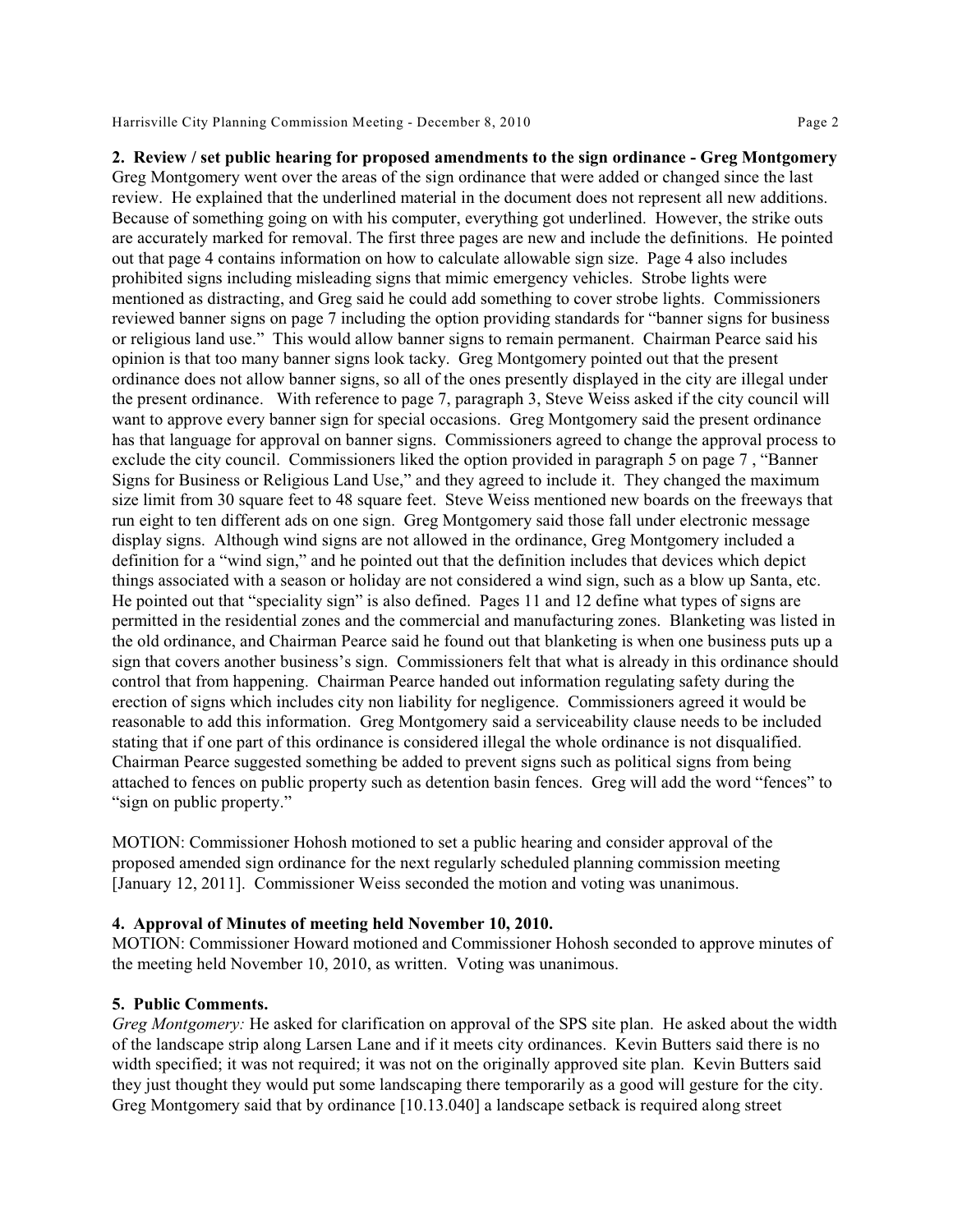Harrisville City Planning Commission Meeting - December 8, 2010 Page 2

**2. Review / set public hearing for proposed amendments to the sign ordinance - Greg Montgomery** Greg Montgomery went over the areas of the sign ordinance that were added or changed since the last review. He explained that the underlined material in the document does not represent all new additions. Because of something going on with his computer, everything got underlined. However, the strike outs are accurately marked for removal. The first three pages are new and include the definitions. He pointed out that page 4 contains information on how to calculate allowable sign size. Page 4 also includes prohibited signs including misleading signs that mimic emergency vehicles. Strobe lights were mentioned as distracting, and Greg said he could add something to cover strobe lights. Commissioners reviewed banner signs on page 7 including the option providing standards for "banner signs for business or religious land use." This would allow banner signs to remain permanent. Chairman Pearce said his opinion is that too many banner signs look tacky. Greg Montgomery pointed out that the present ordinance does not allow banner signs, so all of the ones presently displayed in the city are illegal under the present ordinance. With reference to page 7, paragraph 3, Steve Weiss asked if the city council will want to approve every banner sign for special occasions. Greg Montgomery said the present ordinance has that language for approval on banner signs. Commissioners agreed to change the approval process to exclude the city council. Commissioners liked the option provided in paragraph 5 on page 7 , "Banner Signs for Business or Religious Land Use," and they agreed to include it. They changed the maximum size limit from 30 square feet to 48 square feet. Steve Weiss mentioned new boards on the freeways that run eight to ten different ads on one sign. Greg Montgomery said those fall under electronic message display signs. Although wind signs are not allowed in the ordinance, Greg Montgomery included a definition for a "wind sign," and he pointed out that the definition includes that devices which depict things associated with a season or holiday are not considered a wind sign, such as a blow up Santa, etc. He pointed out that "speciality sign" is also defined. Pages 11 and 12 define what types of signs are permitted in the residential zones and the commercial and manufacturing zones. Blanketing was listed in the old ordinance, and Chairman Pearce said he found out that blanketing is when one business puts up a sign that covers another business's sign. Commissioners felt that what is already in this ordinance should control that from happening. Chairman Pearce handed out information regulating safety during the erection of signs which includes city non liability for negligence. Commissioners agreed it would be reasonable to add this information. Greg Montgomery said a serviceability clause needs to be included stating that if one part of this ordinance is considered illegal the whole ordinance is not disqualified. Chairman Pearce suggested something be added to prevent signs such as political signs from being attached to fences on public property such as detention basin fences. Greg will add the word "fences" to "sign on public property."

MOTION: Commissioner Hohosh motioned to set a public hearing and consider approval of the proposed amended sign ordinance for the next regularly scheduled planning commission meeting [January 12, 2011]. Commissioner Weiss seconded the motion and voting was unanimous.

## **4. Approval of Minutes of meeting held November 10, 2010.**

MOTION: Commissioner Howard motioned and Commissioner Hohosh seconded to approve minutes of the meeting held November 10, 2010, as written. Voting was unanimous.

## **5. Public Comments.**

*Greg Montgomery:* He asked for clarification on approval of the SPS site plan. He asked about the width of the landscape strip along Larsen Lane and if it meets city ordinances. Kevin Butters said there is no width specified; it was not required; it was not on the originally approved site plan. Kevin Butters said they just thought they would put some landscaping there temporarily as a good will gesture for the city. Greg Montgomery said that by ordinance [10.13.040] a landscape setback is required along street